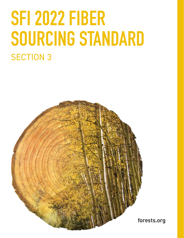# **SFI 2022 FIBER SOURCING STANDARD SECTION 3**

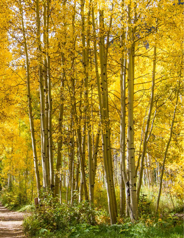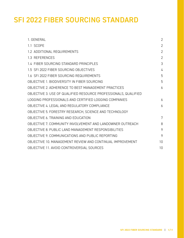# SFI 2022 FIBER SOURCING STANDARD

| 1. GENERAL                                                      | $\overline{2}$ |
|-----------------------------------------------------------------|----------------|
| 1.1 SCOPE                                                       | $\overline{2}$ |
| 1.2 ADDITIONAL REQUIREMENTS                                     | $\overline{2}$ |
| 1.3 REFERENCES                                                  | $\overline{2}$ |
| 1.4 FIBER SOURCING STANDARD PRINCIPLES                          | 3              |
| 1.5 SFI 2022 FIBER SOURCING OBJECTIVES                          | 4              |
| 1.6 SFI 2022 FIBER SOURCING REQUIREMENTS                        | 5              |
| OBJECTIVE 1. BIODIVERSITY IN FIBER SOURCING                     | 5              |
| OBJECTIVE 2. ADHERENCE TO BEST MANAGEMENT PRACTICES             | 6              |
| OBJECTIVE 3. USE OF QUALIFIED RESOURCE PROFESSIONALS, QUALIFIED |                |
| LOGGING PROFESSIONALS AND CERTIFIED LOGGING COMPANIES           | 6              |
| OBJECTIVE 4. LEGAL AND REGULATORY COMPLIANCE                    | 6              |
| OBJECTIVE 5. FORESTRY RESEARCH, SCIENCE AND TECHNOLOGY          |                |
| OBJECTIVE 6. TRAINING AND EDUCATION                             | 7              |
| OBJECTIVE 7. COMMUNITY INVOLVEMENT AND LANDOWNER OUTREACH       | 8              |
| OBJECTIVE 8. PUBLIC LAND MANAGEMENT RESPONSIBILITIES            | 9              |
| OBJECTIVE 9. COMMUNICATIONS AND PUBLIC REPORTING                | 9              |
| OBJECTIVE 10. MANAGEMENT REVIEW AND CONTINUAL IMPROVEMENT       | 10             |
| OBJECTIVE 11. AVOID CONTROVERSIAL SOURCES                       | 10             |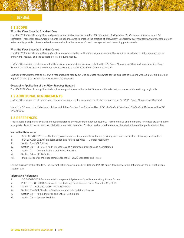# **1. GENERAL**

# **1.1 SCOPE**

# What the *Fiber Sourcing* Standard Does

The *SFI 2022 Fiber Sourcing Standard* promotes responsible *forestry* based on 13 *Principles*, 11 Objectives, 29 *Performance Measures* and 59 *Indicators*. These fiber sourcing requirements include measures to broaden the practice of *biodiversity*, use forestry *best management practices* to *protect* water quality, provide outreach to landowners and utilize the services of forest management and harvesting professionals.

# What the *Fiber Sourcing* Standard Covers

The *SFI 2022 Fiber Sourcing Standard* applies to any organization with a fiber sourcing program that acquires roundwood or field-manufactured or primary-mill residual chips to support a forest products facility.

Certified Organizations that source all of their *primary sources* from forests certified to the *SFI Forest Management Standard, American Tree Farm Standard* or *CSA Z809 Standard* do not have to certify to the *SFI 2022 Fiber Sourcing Standard*.

Certified Organizations that do not own a manufacturing facility but who purchase roundwood for the purposes of reselling without a SFI claim are not required to certify to the *SFI 2022 Fiber Sourcing Standard.*

# Geographic Application of the *Fiber Sourcing* Standard

The *SFI 2022 Fiber Sourcing Standard* applies to organizations in the United States and Canada that procure wood domestically or globally.

# **1.2 ADDITIONAL REQUIREMENTS**

Certified Organizations that own or have management authority for forestlands must also conform to the *SFI 2022 Forest Management Standard*.

Use of the SFI on-product labels and claims shall follow Section 6 - Rules for Use of SFI On-Product Labels and Off-Product Marks as well as ISO 14020:2000.

# **1.3 REFERENCES**

This standard incorporates, by dated or undated reference, provisions from other publications. These normative and informative references are cited at the appropriate places in the text and the publications are listed hereafter. For dated and undated references, the latest edition of the publication applies.

# Normative References

- i. ISO/IEC 17021:2015 Conformity Assessment Requirements for bodies providing audit and certification of management systems
- ii. ISO/IEC Guide 2:2004 Standardization and related activities General vocabulary
- iii. Section 8 SFI Policies
- iv. Section 10 SFI 2022 Audit Procedures and Auditor Qualifications and Accreditation
- v. Section 11 Communications and Public Reporting
- vi. Section 14 SFI Definitions
- vii. Interpretations for the Requirements for the SFI 2022 Standards and Rules

For the purposes of this standard, the relevant definitions given in ISO/IEC Guide 2:2004 apply, together with the definitions in the SFI Definitions (Section 14).

# Informative References

- i. ISO 14001:2015 Environmental Management Systems Specification with guidance for use
- ii. PEFC ST 1003:2018 Sustainable Forest Management Requirements, November 28, 2018
- iii. Section 7 Guidance to SFI 2022 Standards
- iv. Section 9 SFI Standards Development and Interpretations Process
- v. Section 12 Public Inquiries and Official Complaints
- vi. Section 13 Optional Modules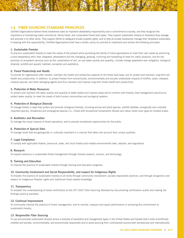# **1.4 FIBER SOURCING STANDARD PRINCIPLES**

Certified Organizations believe forest landowners have an important stewardship responsibility and a commitment to society, and they recognize the importance of maintaining viable commercial, family forest, and *conservation* forest land bases. They support *sustainable forestry* on forestland they manage and promote it on other lands. They support efforts to safeguard private property rights, and to help all private landowners manage their forestland sustainably. In keeping with this responsibility, Certified Organizations shall have a written *policy* (or *policies*) to implement and achieve the following *principles*:

# 1. *Sustainable Forestry*

To practice *sustainable forestry* to meet the needs of the present while promoting the ability of future generations to meet their own needs by practicing a land stewardship ethic that integrates *reforestation* and the managing, growing, nurturing and harvesting of trees for useful products, and for the provision of *ecosystem services* such as the *conservation* of soil, air and water quality and quantity, *climate change adaptation* and *mitigation*, *biological diversity*, *wildlife* and *aquatic habitats*, recreation and aesthetics.

# 2. *Forest Productivity* and Health

To provide for regeneration after harvest, maintain the health and productive capacity of the forest land base, and to *protect* and maintain *long-term* soil health and *productivity*. In addition, to *protect* forests from economically, environmentally and socially undesirable impacts of wildfire, pests, diseases, *invasive species*, and other damaging agents and thus maintain and improve *long-term forest health* and *productivity.*

# 3. *Protection* of Water Resources

To *protect* and maintain the water quality and quantity of water bodies and *riparian areas* and to conform with forestry *best management practices* to *protect* water quality, to meet the needs of both human communities and ecological systems.

# 4. *Protection* of *Biological Diversity*

To manage forests in ways that *protect* and promote *biological diversity*, including animal and plant species, *wildlife habitats, ecologically and culturally important* species, *threatened and endangered* species (i.e., *Forest with Exceptional Conservation Values*) and native *forest cover types* at multiple scales.

# 5. Aesthetics and Recreation

To manage the visual impacts of forest operations, and to provide recreational opportunities for the public.

# 6. *Protection* of *Special Sites*

To manage lands that are geologically or *culturally important* in a manner that takes into account their unique qualities.

# 7. Legal Compliance

To comply with applicable federal, provincial, state, and *local forestry* and related environmental laws, statutes, and regulations.

# 8. Research

To support advances in sustainable forest management through *forestry* research, science, and technology.

# 9. Training and Education

To improve the practice of *sustainable forestry* through training and education *programs*.

# 10. Community Involvement and Social Responsibility, and respect for Indigenous Rights

To broaden the practice of *sustainable forestry* on all lands through community involvement, socially responsible practices, and through recognition and respect of *Indigenous Peoples*' rights and traditional forest-related knowledge.

# 11. Transparency

To broaden the understanding of forest certification to the *SFI 2022 Fiber Sourcing Standard* by documenting certification audits and making the findings publicly available.

# 12. Continual Improvement

To continually improve the practice of forest management, and to monitor, measure and report performance in achieving the commitment to *sustainable forestry*.

# 13. Responsible *Fiber Sourcing*

To use and promote *sustainable forestry* across a diversity of ownership and management types in the United States and Canada that is both scientifically credible and socially, environmentally, and economically responsible and to avoid sourcing from *controversial sources* both domestically and internationally.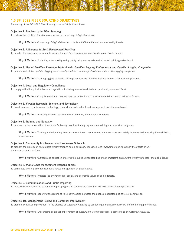# **1.5 SFI 2022 FIBER SOURCING OBJECTIVES**

A summary of the SFI 2022 Fiber Sourcing Standard Objectives follows:

# Objective 1. Biodiversity in *Fiber Sourcing*

To address the practice of *sustainable forestry* by conserving *biological diversity*.

Why it Matters: Conserving *biological diversity* protects *wildlife habitat* and ensures heathy forests.

# Objective 2. Adherence to *Best Management Practices*

To broaden the practice of *sustainable forestry* through *best management practices* to *protect* water quality.

Why it Matters: Protecting water quality and quantity helps ensure safe and abundant drinking water for all.

# Objective 3. Use of Qualified Resource Professionals, Qualified Logging Professionals and Certified Logging Companies

To promote and utilize qualified logging professionals, qualified resource professionals and certified logging companies.

Why it Matters: Training logging professionals helps landowners implement effective forest management practices.

# Objective 4. Legal and Regulatory Compliance

To comply with all applicable laws and regulations including international, federal, provincial, state, and *local.* 

Why it Matters: Compliance with all laws ensures the protection of the environmental and social values of forests.

# Objective 5. *Forestry* Research, Science, and Technology

To invest in research, science and technology, upon which sustainable forest management decisions are based.

Why it Matters: Investing in forest research means healthier, more productive forests.

#### Objective 6. Training and Education

To improve the implementation of *sustainable forestry* practices through appropriate training and education *programs.*

Why it Matters: Training and educating foresters means forest management plans are more accurately implemented, ensuring the well-being of our forests.

# Objective 7. Community Involvement and Landowner Outreach

To broaden the practice of *sustainable forestry* through public outreach, education, and involvement and to support the efforts of *SFI Implementation Committees.* 

Why it Matters: Outreach and education improves the public's understanding of how important *sustainable forestry* is to local and global issues.

# Objective 8. *Public Land* Management Responsibilities

To participate and implement sustainable forest management on *public lands.*

Why it Matters: Protects the environmental, social, and economic values of public forests.

# Objective 9. Communications and Public Reporting

To increase transparency and to annually report progress on conformance with the *SFI 2022 Fiber Sourcing* Standard.

Why it Matters: Reporting the results of third-party audits increases the public's understanding of forest certification.

#### Objective 10. Management Review and Continual Improvement

To promote continual improvement in the practice of *sustainable forestry* by conducting a management review and monitoring performance.

Why it Matters: Encouraging continual improvement of *sustainable forestry* practices, a cornerstone of *sustainable forestry*.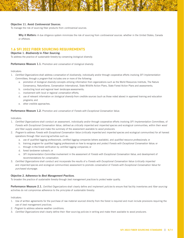# Objective 11. Avoid *Controversial Sources.*

To manage the risk of sourcing fiber products from *controversial sources.* 

Why it Matters: A due diligence system minimizes the risk of sourcing from *controversial sources*. whether in the United States, Canada or offshore.

# **1.6 SFI 2022 FIBER SOURCING REQUIREMENTS**

# Objective 1. *Biodiversity* in *Fiber Sourcing*.

To address the practice of *sustainable forestry* by conserving *biological diversity*.

Performance Measure 1.1. Promotion and *conservation* of *biological diversity.*

# Indicators:

- 1. Certified Organizations shall address c*onservation* of *biodiversity*, individually and/or through cooperative efforts involving *SFI Implementation Committees*, through a *program* that includes one or more of the following:
	- a. promotion of *biological diversity* concepts utilizing information from organizations such as the World Resources Institute, The Nature Conservancy, NatureServe, Conservation International, State Wildlife Action Plans, State Forest Action Plans and assessments;
	- b. conducting local and regional level *landscape* assessments;
	- c. involvement with local or regional *conservation* efforts;
	- d. use of relevant information on *biological diversity* from credible sources (such as those noted above) in approved training and education *programs*; and
	- e. other credible approaches.

# Performance Measure 1.2. Promotion and *conservation* of *Forests with Exceptional Conservation Value*.

#### Indicators:

- 1. Certified Organizations shall conduct an assessment, individually and/or through cooperative efforts involving *SFI Implementation Committees*, of *Forests with Exceptional Conservation Value*, defined as critically imperiled and *imperiled* species and ecological communities, within their *wood*  and fiber supply area(s) and make the summary of the assessment available to *wood producers*.
- 2. Program to address Forests with Exceptional Conservation Value (critically imperiled and imperiled species and ecological communities) for all harvest operations through fiber sourcing activities such as:
	- a. use of qualified logging professionals, certified logging companies (where available), and qualified resource professionals; or
	- b. training *program* for qualified logging professionals on how to recognize and *protect Forests with Exceptional Conservation Value*; or
	- c. through in-the-forest verification by certified logging companies; or
	- d. forest landowner outreach; or
	- e. *SFI Implementation Committee* involvement in the assessment of *Forests with Exceptional Conservation Value*, and development of recommendations for *conservation*.
- 3. Certified Organizations shall conduct and incorporate the results of a *Forests with Exceptional Conservation Value (critically imperiled* and *imperiled* species and ecological communities) assessment to promote *conservation* of *Forests with Exceptional Conservation Value* for *purchased stumpage.*

# Objective 2. Adherence to *Best Management Practices*.

To broaden the practice of *sustainable forestry* through *best management practices* to *protect* water quality.

Performance Measure 2.1. Certified Organizations shall clearly define and implement *policies* to ensure that facility inventories and fiber sourcing activities do not compromise adherence to the *principles* of *sustainable forestry.*

- 1. Use of written agreements for the purchase of raw material sourced directly from the forest is required and must include provisions requiring the use of *best management practices.*
- 2. *Program* to address adverse weather conditions.
- 3. Certified Organizations shall clearly define their fiber sourcing policies in writing and make them available to *wood producers.*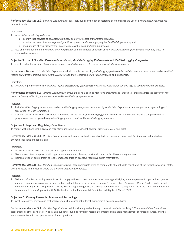Performance Measure 2.2. Certified Organizations shall, individually or through cooperative efforts monitor the use of *best management practices* relative to scale.

Indicators:

- 1. A verifiable monitoring system to:
	- a. confirm that harvests of *purchased stumpage* comply with *best management practices;*
	- b. monitor the use of *best management practices* by *wood producers* supplying the Certified Organization; and
	- c. evaluate use of *best management practices* across the wood and fiber supply area.
- 2. Use of information from the verifiable monitoring system to maintain rates of conformance to *best management practices* and to identify areas for improved performance.

#### Objective 3. Use of Qualified Resource Professionals, Qualified Logging Professionals and Certified Logging Companies.

To promote and utilize qualified logging professionals, qualified resource professionals and certified logging companies.

Performance Measure 3.1. Certified Organizations shall promote the use of qualified logging professionals, qualified resource professionals and/or certified *logging companies* to improve *sustainable forestry* through their relationships with *wood producers* and landowners.

#### Indicators:

1. *Program* to promote the use of qualified logging professionals, qualified resource professionals and/or certified logging companies where available.

Performance Measure 3.2. Certified Organizations, through their relationships with wood producers and landowners, shall maximize the delivery of raw materials from qualified logging professionals and/or certified logging companies.

Indicator:

- 1. List of qualified logging professionals and/or certified logging companies maintained by an Certified Organization, state or provincial agency, loggers' association, or other organization.
- 2. Certified Organizations shall have written agreements for the use of qualified logging professionals or *wood producers* that have completed training *programs* and are recognized as qualified logging professionals and/or certified logging companies.

# Objective 4. Legal and Regulatory Compliance.

To comply with all applicable laws and regulations including international, federal, provincial, state, and *local.*

Performance Measure 4.1. Certified Organizations shall comply with all applicable federal, provincial, state, and *local forestry* and related and environmental laws and regulations.

# Indicators:

- 1. Access to relevant laws and regulations in appropriate locations.
- 2. System to achieve compliance with applicable international, federal, provincial, state, or *local* laws and regulations.
- 3. Demonstration of commitment to legal compliance through *available regulatory action information.*

Performance Measure 4.2. Certified Organizations shall take appropriate steps to comply with all applicable social laws at the federal, provincial, state, and *local* levels in the country where the Certified Organization operates.

Indicator:

1. Written *policy* demonstrating commitment to comply with social laws, such as those covering civil rights, equal employment opportunities, gender equality, diversity inclusion, anti-discrimination and anti-harassment measures, workers' compensation, *Indigenous Peoples*' rights, workers' and communities' right to know, prevailing wages, workers' right to organize, and occupational health and safety which meet the spirit and intent of the International Labour Organization (ILO) Declaration on the Fundamental Principles and Rights at Work (1998).

# Objective 5. *Forestry* Research, Science and Technology.

To invest in research, science and technology, upon which sustainable forest management decisions are based.

Performance Measure 5.1. Certified Organizations shall individually and/or through cooperative efforts involving *SFI Implementation Committees*, associations or other partners provide in-kind support or funding for forest research to improve sustainable management of forest resources, and the environmental benefits and performance of forest products.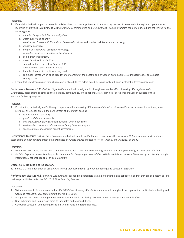# Indicators:

- 1. Financial or in-kind support of research, collaboratives, or knowledge transfer to address key themes of relevance in the region of operations as identified by Certified Organizations *local* stakeholders, communities and/or *Indigenous Peoples*. Examples could include, but are not limited to, the following topics:
	- a. *climate change adaptation* and *mitigation*;
	- b. water quality and quantity;
	- c. *biodiversity*, *Forests with Exceptional Conservation Value*, and species maintenance and recovery;
	- d. *landscape* ecology;
	- e. Indigenous traditional ecological knowledge;
	- f. *ecosystem services* or *non-timber forest products*;
	- g. community engagement;
	- h. *forest health* and *productivity*;
	- i. support for Forest Inventory Analysis (FIA)
	- j. SFI sponsored *conservation* research;
	- k. the role of forests in the bioeconomy, and
	- l. or similar themes which build broader understanding of the benefits and effects of sustainable forest management or sustainable supply chains.
- 2. Ensure that knowledge gained through research is shared, to the extent possible, to positively influence sustainable forest management.

Performance Measure 5.2. Certified Organizations shall individually and/or through cooperative efforts involving *SFI Implementation Committees*, associations or other partners develop, contribute to, or use national, state, provincial or regional analyses in support of their *sustainable forestry programs*.

Indicator:

- 1. Participation, individually and/or through cooperative efforts involving *SFI Implementation Committees* and/or associations at the national, state, provincial or regional level, in the development of information such as:
	- a. regeneration assessments;
	- b. *growth and drain* assessments;
	- c. *best management practices* implementation and conformance;
	- d. *biodiversity conservation* information for family forest owners; and
	- e. social, cultural, or economic benefit assessments.

Performance Measure 5.3. Certified Organizations shall individually and/or through cooperative efforts involving *SFI Implementation Committees*, associations or other partners broaden the awareness of *climate change* impacts on forests, *wildlife*, and *biological diversity*.

# Indicators:

- 1. Where available, monitor information generated from regional climate models on *long-term forest health, productivity*, and *economic viability.*
- 2. Certified Organizations are knowledgeable about *climate change* impacts on *wildlife, wildlife habitats* and *conservation* of *biological diversity* through international, national, regional, or local *programs*.

# Objective 6. Training and Education.

To improve the implementation of *sustainable forestry* practices through appropriate training and education *programs.*

Performance Measure 6.1. Certified Organizations shall require appropriate training of personnel and contractors so that they are competent to fulfill their responsibilities under the *SFI 2022 Fiber Sourcing Standard.* 

- 1. Written statement of commitment to the *SFI 2022 Fiber Sourcing Standard* communicated throughout the organization, particularly to facility and woodland managers, fiber sourcing staff and field foresters.
- 2. Assignment and understanding of roles and responsibilities for achieving SFI 2022 Fiber Sourcing Standard objectives.
- 3. Staff education and training sufficient to their roles and responsibilities.
- 4. Contractor education and training sufficient to their roles and responsibilities.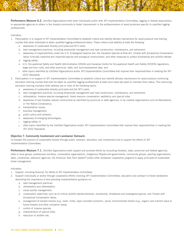Performance Measure 6.2. Certified Organizations shall work individually and/or with *SFI Implementation Committees*, logging or *forestry* associations, or appropriate agencies or others in the *forestry* community to foster improvement in the professionalism of *wood producers* specific to qualified logging *professionals*.

# Indicators:

- 1. Participation in or support of *SFI Implementation Committees* to establish criteria and identify delivery mechanisms for *wood producer* core training courses that allow individuals to attain qualified logging professional status. These criteria must address at least the following:
	- a. awareness of *sustainable forestry principles* and SFI's work;
	- b. *best management practices*, including streamside management and road construction, maintenance, and retirement;
	- c. awareness of responsibilities under the U.S. Endangered Species Act, the Canadian Species at Risk Act, *Forests with Exceptional Conservation Value (critically imperiled* and *imperiled* species and ecological communities), and other measures to *protect biodiversity* and *wildlife habitat*;
	- d. logging safety;
	- e. U.S. Occupational Safety and Health Administration (OSHA) and Canadian Centre for Occupational Health and Safety (CCOHS) regulations, wage and hour rules, and other provincial, state, and *local* employment laws, and
	- f. other topics identified by Certified Organizations and/or *SFI Implementation Committees* that improve their responsibilities in meeting the *SFI 2022 Standards*.
- 2. Participation in or support of *SFI Implementation Committees* to establish criteria and identify delivery mechanisms for *wood producer* continuing education training courses that shall be taken by qualified logging professionals at least once every two years to maintain their status. The continuing education training course(s) shall address one or more of the following topics:
	- a. awareness of *sustainable forestry principles* and the SFI's work;
	- b. *best management practices*, including streamside management and road construction, maintenance, and retirement;
	- c. *reforestation, invasive species* management, forest resource *conservation*, aesthetics and *special sites*;
	- d. awareness of rare forested *natural communities* as identified by provincial or state agencies, or by credible organizations such as NatureServe or The Nature Conservancy;
	- e. transportation issues;
	- f. business management;
	- g. public policy and outreach;
	- h. awareness of emerging technologies;
	- i. logging safety; or
	- j. other topics identified by the Certified Organization and/or *SFI Implementation Committees* that improve their responsibilities in meeting the *SFI 2022 Standards*.

# Objective 7. Community Involvement and Landowner Outreach.

To broaden the practice of *sustainable forestry* through public outreach, education, and involvement and to support the efforts of *SFI Implementation Committees.* 

Performance Measure 7.1. Certified Organizations shall support and promote efforts by consulting foresters, state, provincial and federal agencies, state or local groups, professional societies, *conservation* organizations, *Indigenous Peoples* and governments, community groups, sporting organizations, labor, universities, extension agencies, the *American Tree Farm System®* and/or other landowner cooperative *programs* to apply *principles* of sustainable forest management.

- 1. Support, including financial, for efforts of *SFI Implementation Committees.*
- 2. Support individually or and/or through cooperative efforts involving *SFI Implementation Committees*, education and outreach to forest landowners describing the importance of and providing implementation guidance on:
	- a. *best management practices*;
	- b. *reforestation* and *afforestation*;
	- c. *visual quality management*;
	- d. conservation objectives, such as of critical *wildlife habitat* elements, *biodiversity*, *threatened and endangered* species, and *Forests with Exceptional Conservation Value*;
	- e. management of harvest residue (e.g., slash, limbs, tops) considers economic, social, environmental factors (e.g., organic and nutrient value to future forests) and other utilization needs;
	- f. control of *invasive species*;
	- g. characteristics of *special sites*;
	- h. reduction of wildfire risk;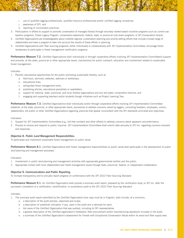- i. use of qualified logging professionals, qualified resource professionals and/or certified logging companies;
- j. awareness of SFI, and
- k. reporting of inconsistent practices.
- 3. Participation in efforts to support or promote *conservation* of managed forests through voluntary market-based incentive programs such as current-use taxation programs, Forest Legacy Program, conservation easements, federal, state, or provincial cost share programs, or SFI Conservation Grants.
- 4. Certified Organizations are knowledgeable about credible regional *conservation* planning and priority-setting efforts that include a broad range of stakeholders and have a *program* to take into account the results of these efforts in planning.
- 5. Certified Organizations with fiber sourcing programs, either individually or collaboratively with *SFI Implementation Committees*, encourage forest landowners to participate in forest management certification *programs.*

Performance Measure 7.2. Certified Organizations shall individually or through cooperative efforts involving *SFI Implementation Committee(s)* support and promote, at the state, provincial or other appropriate levels, mechanisms for public outreach, education and involvement related to sustainable forest management.

# Indicator:

1. Periodic educational opportunities for the public promoting *sustainable forestry*, such as

- a. field tours, seminars, websites, webinars or workshops;
- b. educational trips;
- c. self-guided forest management trails;
- d. publishing articles, educational pamphlets or newsletters;
- e. support for national, state, provincial, and local *forestry* organizations and soil and water *conservation* districts, and
- f. engaging and supporting teachers and/or students though initiatives such as Project Learning Tree.

Performance Measure 7.3. Certified Organizations shall individually and/or through cooperative efforts involving *SFI Implementation Committees* establish, at the state, provincial, or other appropriate levels, procedures to address concerns raised by loggers, consulting foresters, employees, unions, stakeholders, the public or other Certified Organizations regarding *practices* that appear inconsistent with the SFI standards *principles* and objectives.

# Indicators:

- 1. Support for *SFI Implementation Committees* (e.g., toll-free numbers and other efforts) to address concerns about apparent nonconformance.
- 2. Process to receive and respond to public inquiries. *SFI Implementation Committees* shall submit data annually to *SFI Inc.* regarding concerns received and responses.

# Objective 8. *Public Land* Management Responsibilities.

To participate and implement sustainable forest management on *public lands.*

Performance Measure 8.1. Certified Organizations with forest *management responsibilities on public lands* shall participate in the development of *public land* planning and management processes.

# Indicators:

- 1. Involvement in *public land* planning and management activities with appropriate governmental entities and the public.
- 2. Appropriate contact with local stakeholders over forest management issues through state, provincial, federal, or independent collaboration.

# Objective 9. Communications and Public Reporting.

To increase transparency and to annually report progress on conformance with the *SFI 2022 Fiber Sourcing Standard.* 

Performance Measure 9.1. An Certified Organization shall provide a summary audit report, prepared by the certification body, to SFI Inc. after the successful completion of a certification, recertification, or surveillance audit to the *SFI 2022 Fiber Sourcing Standard.* 

# Indicator:

1. The summary audit report submitted by the Certified Organization (one copy must be in English), shall include, at a minimum,

- a. a description of the audit process, objectives and scope;
- b. a description of substitute *indicators*, if any, used in the audit and a rationale for each;
- c. the name of the Certified Organization that was audited, including its SFI representative;
- d. a general description of the Certified organization's forestland, fiber procurement and/or manufacturing operations included in the audit;
- e. a summary of the Certified Organization's assessment for *Forests with Exceptional Conservation Values* within its wood and fiber supply area.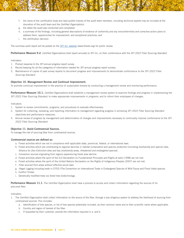- f. the name of the certification body and *lead auditor* (names of the *audit team* members, including *technical experts* may be included at the discretion of the *audit team* and the Certified Organization);
- g. the dates the audit was conducted and completed;
- h. a summary of the findings, including general descriptions of evidence of conformity and any nonconformities and corrective action plans to address them, opportunities for improvement, and exceptional practices; and
- i. the certification decision.

The summary audit report will be posted on the *SFI Inc.* [website](https://www.forests.org) (www.forests.org) for public review.

Performance Measure 9.2. Certified Organizations shall report annually to *SFI Inc.* on their conformance with the *SFI 2022 Fiber Sourcing Standard*.

# Indicators:

- 1. Prompt response to the *SFI* annual progress report survey.
- 2. Record keeping for all the categories of information needed for *SFI* annual progress report surveys.
- 3. Maintenance of copies of past survey reports to document progress and improvements to demonstrate conformance to the *SFI 2022 Fiber Sourcing Standard.*

# Objective 10. Management Review and Continual Improvement.

To promote continual improvement in the practice of *sustainable forestry* by conducting a management review and monitoring performance.

Performance Measure 10.1. Certified Organizations shall establish a management review system to examine findings and progress in implementing the *SFI 2022 Fiber Sourcing Standard*, to make appropriate improvements in *programs*, and to inform their employees of changes.

Indicators:

- 1. System to review commitments, *programs*, and procedures to evaluate effectiveness.
- 2. System for collecting, reviewing, and reporting information to management regarding progress in achieving *SFI 2022 Fiber Sourcing Standard*  objectives and *performance measures*.
- 3. Annual review of progress by management and determination of changes and improvements necessary to continually improve conformance to the *SFI 2022 Fiber Sourcing Standard.*

# Objective 11. Avoid Controversial Sources.

To manage the risk of sourcing fiber from *controversial sources.* 

# *Controversial sources* are defined as:

- a. Forest activities which are not in compliance with applicable state, provincial, federal, or international laws.
- b. Forest activities which are contributing to regional declines in *habitat conservation* and species *protection* (including *biodiversity* and *special sites, Alliance for Zero Extinction* sites and key *biodiversity* areas, *threatened and endangered species*).
- c. *Conversion sources* originating from regions experiencing forest area decline.
- d. Forest activities where the spirit of the ILO Declaration on Fundamental Principles and Rights at work (1998) are not met.
- e. Forest activities where the spirit of the United Nations Declaration on the Rights of Indigenous Peoples (2007) are not met.
- f. *Fiber sourced from areas without effective social laws*
- g. Illegal Logging including trade in CITES (The Convention on International Trade in Endangered Species of Wild Fauna and Flora) listed species.
- h. Conflict Timber.
- i. Genetically modified trees via *forest tree biotechnology*.

Performance Measure 11.1. The Certified Organization shall have a process to access and collect information regarding the sources of its procured fiber.

- 1. The Certified Organization shall collect information on the source of the fiber, through a due diligence system to address the likelihood of sourcing from *controversial sources*. This includes:
	- a. Identification of tree species, or list of tree species potentially included, by their common name and or their scientific name where applicable.
	- b. Country and region of harvest of the fiber.
	- c. If requested by their customer, provide the information required in a. and b.